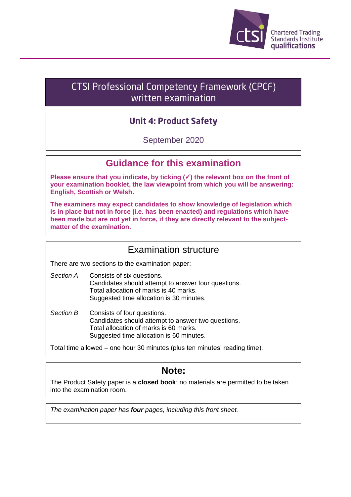

# CTSI Professional Competency Framework (CPCF) written examination

## **Unit 4: Product Safety**

September 2020

### **Guidance for this examination**

**Please ensure that you indicate, by ticking (**✓**) the relevant box on the front of your examination booklet, the law viewpoint from which you will be answering: English, Scottish or Welsh.**

**The examiners may expect candidates to show knowledge of legislation which is in place but not in force (i.e. has been enacted) and regulations which have been made but are not yet in force, if they are directly relevant to the subjectmatter of the examination.**

### Examination structure

There are two sections to the examination paper:

- *Section A* Consists of six questions. Candidates should attempt to answer four questions. Total allocation of marks is 40 marks. Suggested time allocation is 30 minutes.
- *Section B* Consists of four questions. Candidates should attempt to answer two questions. Total allocation of marks is 60 marks. Suggested time allocation is 60 minutes.

Total time allowed – one hour 30 minutes (plus ten minutes' reading time).

## **Note:**

The Product Safety paper is a **closed book**; no materials are permitted to be taken into the examination room.

*The examination paper has four pages, including this front sheet.*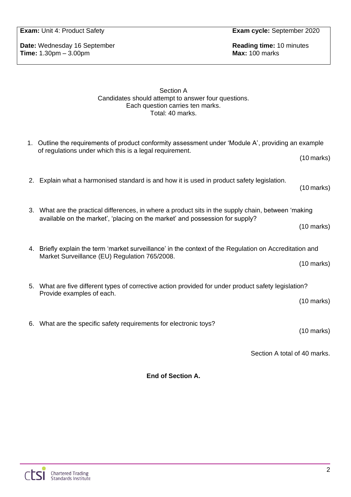**Exam:** Unit 4: Product Safety **Exam cycle:** September 2020

**Date:** Wednesday 16 September **Reading time:** 10 minutes **Time:** 1.30pm – 3.00pm **Time:** 1.30pm – 3.00pm

#### Section A Candidates should attempt to answer four questions. Each question carries ten marks. Total: 40 marks.

|    | 1. Outline the requirements of product conformity assessment under 'Module A', providing an example<br>of regulations under which this is a legal requirement.                      |                      |
|----|-------------------------------------------------------------------------------------------------------------------------------------------------------------------------------------|----------------------|
|    |                                                                                                                                                                                     | $(10 \text{ marks})$ |
|    | 2. Explain what a harmonised standard is and how it is used in product safety legislation.                                                                                          | $(10 \text{ marks})$ |
|    | 3. What are the practical differences, in where a product sits in the supply chain, between 'making<br>available on the market', 'placing on the market' and possession for supply? |                      |
|    |                                                                                                                                                                                     |                      |
|    |                                                                                                                                                                                     | $(10 \text{ marks})$ |
|    | 4. Briefly explain the term 'market surveillance' in the context of the Regulation on Accreditation and<br>Market Surveillance (EU) Regulation 765/2008.                            |                      |
|    |                                                                                                                                                                                     |                      |
|    |                                                                                                                                                                                     | $(10 \text{ marks})$ |
|    | 5. What are five different types of corrective action provided for under product safety legislation?<br>Provide examples of each.                                                   |                      |
|    |                                                                                                                                                                                     |                      |
|    |                                                                                                                                                                                     | $(10 \text{ marks})$ |
| 6. | What are the specific safety requirements for electronic toys?                                                                                                                      |                      |
|    |                                                                                                                                                                                     | $(10 \text{ marks})$ |
|    |                                                                                                                                                                                     |                      |
|    | Section A total of 40 marks.                                                                                                                                                        |                      |
|    |                                                                                                                                                                                     |                      |

**End of Section A.**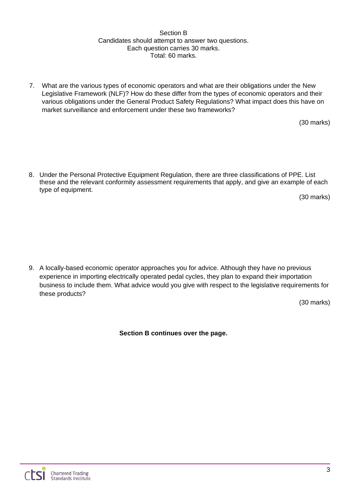#### Section B Candidates should attempt to answer two questions. Each question carries 30 marks. Total: 60 marks.

7. What are the various types of economic operators and what are their obligations under the New Legislative Framework (NLF)? How do these differ from the types of economic operators and their various obligations under the General Product Safety Regulations? What impact does this have on market surveillance and enforcement under these two frameworks?

(30 marks)

8. Under the Personal Protective Equipment Regulation, there are three classifications of PPE. List these and the relevant conformity assessment requirements that apply, and give an example of each type of equipment.

(30 marks)

9. A locally-based economic operator approaches you for advice. Although they have no previous experience in importing electrically operated pedal cycles, they plan to expand their importation business to include them. What advice would you give with respect to the legislative requirements for these products?

(30 marks)

**Section B continues over the page.**